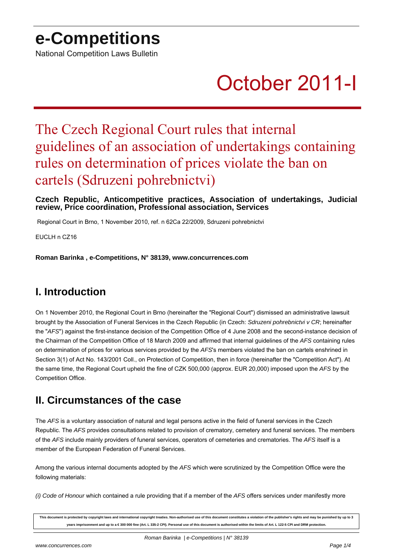## **e-Competitions**

National Competition Laws Bulletin

# October 2011-I

## The Czech Regional Court rules that internal guidelines of an association of undertakings containing rules on determination of prices violate the ban on cartels (Sdruzeni pohrebnictvi)

#### **Czech Republic, Anticompetitive practices, Association of undertakings, Judicial review, Price coordination, Professional association, Services**

Regional Court in Brno, 1 November 2010, ref. n 62Ca 22/2009, Sdruzeni pohrebnictvi

EUCLH n CZ16

**Roman Barinka , e-Competitions, N° 38139, www.concurrences.com**

### **I. Introduction**

On 1 November 2010, the Regional Court in Brno (hereinafter the "Regional Court") dismissed an administrative lawsuit brought by the Association of Funeral Services in the Czech Republic (in Czech: Sdruzeni pohrebnictvi v CR; hereinafter the "AFS") against the first-instance decision of the Competition Office of 4 June 2008 and the second-instance decision of the Chairman of the Competition Office of 18 March 2009 and affirmed that internal guidelines of the AFS containing rules on determination of prices for various services provided by the AFS's members violated the ban on cartels enshrined in Section 3(1) of Act No. 143/2001 Coll., on Protection of Competition, then in force (hereinafter the "Competition Act"). At the same time, the Regional Court upheld the fine of CZK 500,000 (approx. EUR 20,000) imposed upon the AFS by the Competition Office.

### **II. Circumstances of the case**

The AFS is a voluntary association of natural and legal persons active in the field of funeral services in the Czech Republic. The AFS provides consultations related to provision of crematory, cemetery and funeral services. The members of the AFS include mainly providers of funeral services, operators of cemeteries and crematories. The AFS itself is a member of the European Federation of Funeral Services.

Among the various internal documents adopted by the AFS which were scrutinized by the Competition Office were the following materials:

(i) Code of Honour which contained a rule providing that if a member of the  $AFS$  offers services under manifestly more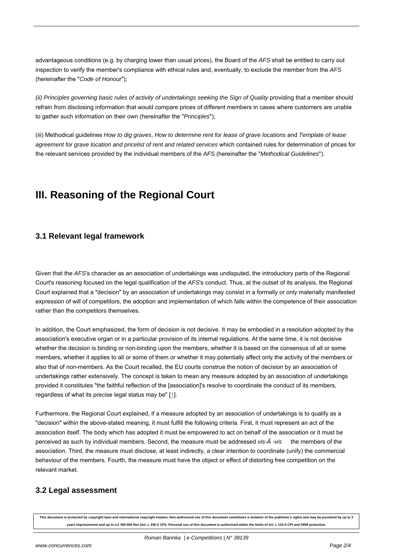advantageous conditions (e.g. by charging lower than usual prices), the Board of the AFS shall be entitled to carry out inspection to verify the member's compliance with ethical rules and, eventually, to exclude the member from the AFS (hereinafter the "Code of Honour");

(ii) Principles governing basic rules of activity of undertakings seeking the Sign of Quality providing that a member should refrain from disclosing information that would compare prices of different members in cases where customers are unable to gather such information on their own (hereinafter the "Principles");

(iii) Methodical guidelines How to dig graves, How to determine rent for lease of grave locations and Template of lease agreement for grave location and pricelist of rent and related services which contained rules for determination of prices for the relevant services provided by the individual members of the AFS (hereinafter the "Methodical Guidelines").

## **III. Reasoning of the Regional Court**

#### **3.1 Relevant legal framework**

Given that the AFS's character as an association of undertakings was undisputed, the introductory parts of the Regional Court's reasoning focused on the legal qualification of the AFS's conduct. Thus, at the outset of its analysis, the Regional Court explained that a "decision" by an association of undertakings may consist in a formally or only materially manifested expression of will of competitors, the adoption and implementation of which falls within the competence of their association rather than the competitors themselves.

In addition, the Court emphasized, the form of decision is not decisive. It may be embodied in a resolution adopted by the association's executive organ or in a particular provision of its internal regulations. At the same time, it is not decisive whether the decision is binding or non-binding upon the members, whether it is based on the consensus of all or some members, whether it applies to all or some of them or whether it may potentially affect only the activity of the members or also that of non-members. As the Court recalled, the EU courts construe the notion of decision by an association of undertakings rather extensively. The concept is taken to mean any measure adopted by an association of undertakings provided it constitutes "the faithful reflection of the [association]'s resolve to coordinate the conduct of its members, regardless of what its precise legal status may be"  $[1]$ .

Furthermore, the Regional Court explained, if a measure adopted by an association of undertakings is to qualify as a "decision" within the above-stated meaning, it must fulfill the following criteria. First, it must represent an act of the association itself. The body which has adopted it must be empowered to act on behalf of the association or it must be perceived as such by individual members. Second, the measure must be addressed vis- $\mathbf{\hat{A}}$  -vis the members of the association. Third, the measure must disclose, at least indirectly, a clear intention to coordinate (unify) the commercial behaviour of the members. Fourth, the measure must have the object or effect of distorting free competition on the relevant market.

#### **3.2 Legal assessment**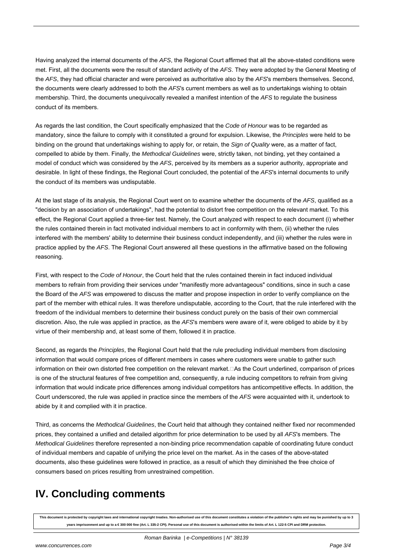Having analyzed the internal documents of the AFS, the Regional Court affirmed that all the above-stated conditions were met. First, all the documents were the result of standard activity of the AFS. They were adopted by the General Meeting of the AFS, they had official character and were perceived as authoritative also by the AFS's members themselves. Second, the documents were clearly addressed to both the AFS's current members as well as to undertakings wishing to obtain membership. Third, the documents unequivocally revealed a manifest intention of the AFS to regulate the business conduct of its members.

As regards the last condition, the Court specifically emphasized that the Code of Honour was to be regarded as mandatory, since the failure to comply with it constituted a ground for expulsion. Likewise, the Principles were held to be binding on the ground that undertakings wishing to apply for, or retain, the Sign of Quality were, as a matter of fact, compelled to abide by them. Finally, the Methodical Guidelines were, strictly taken, not binding, yet they contained a model of conduct which was considered by the AFS, perceived by its members as a superior authority, appropriate and desirable. In light of these findings, the Regional Court concluded, the potential of the AFS's internal documents to unify the conduct of its members was undisputable.

At the last stage of its analysis, the Regional Court went on to examine whether the documents of the AFS, qualified as a "decision by an association of undertakings", had the potential to distort free competition on the relevant market. To this effect, the Regional Court applied a three-tier test. Namely, the Court analyzed with respect to each document (i) whether the rules contained therein in fact motivated individual members to act in conformity with them, (ii) whether the rules interfered with the members' ability to determine their business conduct independently, and (iii) whether the rules were in practice applied by the AFS. The Regional Court answered all these questions in the affirmative based on the following reasoning.

First, with respect to the Code of Honour, the Court held that the rules contained therein in fact induced individual members to refrain from providing their services under "manifestly more advantageous" conditions, since in such a case the Board of the AFS was empowered to discuss the matter and propose inspection in order to verify compliance on the part of the member with ethical rules. It was therefore undisputable, according to the Court, that the rule interfered with the freedom of the individual members to determine their business conduct purely on the basis of their own commercial discretion. Also, the rule was applied in practice, as the AFS's members were aware of it, were obliged to abide by it by virtue of their membership and, at least some of them, followed it in practice.

Second, as regards the Principles, the Regional Court held that the rule precluding individual members from disclosing information that would compare prices of different members in cases where customers were unable to gather such information on their own distorted free competition on the relevant market. 
Sas the Court underlined, comparison of prices is one of the structural features of free competition and, consequently, a rule inducing competitors to refrain from giving information that would indicate price differences among individual competitors has anticompetitive effects. In addition, the Court underscored, the rule was applied in practice since the members of the AFS were acquainted with it, undertook to abide by it and complied with it in practice.

Third, as concerns the Methodical Guidelines, the Court held that although they contained neither fixed nor recommended prices, they contained a unified and detailed algorithm for price determination to be used by all AFS's members. The Methodical Guidelines therefore represented a non-binding price recommendation capable of coordinating future conduct of individual members and capable of unifying the price level on the market. As in the cases of the above-stated documents, also these guidelines were followed in practice, as a result of which they diminished the free choice of consumers based on prices resulting from unrestrained competition.

## **IV. Concluding comments**